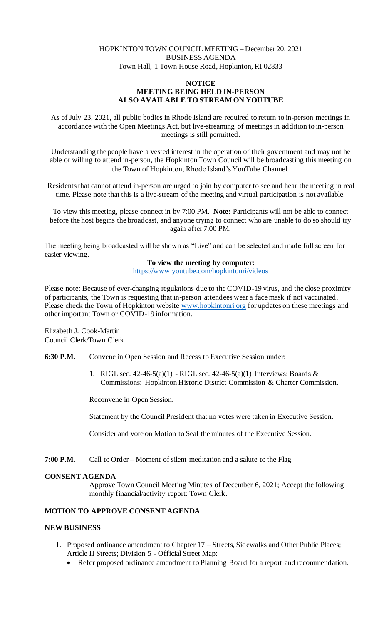# HOPKINTON TOWN COUNCIL MEETING – December 20, 2021 BUSINESS AGENDA Town Hall, 1 Town House Road, Hopkinton, RI 02833

## **NOTICE MEETING BEING HELD IN-PERSON ALSO AVAILABLE TO STREAM ON YOUTUBE**

As of July 23, 2021, all public bodies in Rhode Island are required to return to in-person meetings in accordance with the Open Meetings Act, but live-streaming of meetings in addition to in-person meetings is still permitted.

Understanding the people have a vested interest in the operation of their government and may not be able or willing to attend in-person, the Hopkinton Town Council will be broadcasting this meeting on the Town of Hopkinton, Rhode Island's YouTube Channel.

Residents that cannot attend in-person are urged to join by computer to see and hear the meeting in real time. Please note that this is a live-stream of the meeting and virtual participation is not available.

To view this meeting, please connect in by 7:00 PM. **Note:** Participants will not be able to connect before the host begins the broadcast, and anyone trying to connect who are unable to do so should try again after 7:00 PM.

The meeting being broadcasted will be shown as "Live" and can be selected and made full screen for easier viewing.

## **To view the meeting by computer:**

https://www.youtube.com/hopkintonri/videos

Please note: Because of ever-changing regulations due to the COVID-19 virus, and the close proximity of participants, the Town is requesting that in-person attendees wear a face mask if not vaccinated. Please check the Town of Hopkinton website www.hopkintonri.org for updates on these meetings and other important Town or COVID-19 information.

Elizabeth J. Cook-Martin Council Clerk/Town Clerk

**6:30 P.M.** Convene in Open Session and Recess to Executive Session under:

1. RIGL sec. 42-46-5(a)(1) - RIGL sec. 42-46-5(a)(1) Interviews: Boards & Commissions: Hopkinton Historic District Commission & Charter Commission.

Reconvene in Open Session.

Statement by the Council President that no votes were taken in Executive Session.

Consider and vote on Motion to Seal the minutes of the Executive Session.

**7:00 P.M.** Call to Order – Moment of silent meditation and a salute to the Flag.

#### **CONSENT AGENDA**

Approve Town Council Meeting Minutes of December 6, 2021; Accept the following monthly financial/activity report: Town Clerk.

# **MOTION TO APPROVE CONSENT AGENDA**

## **NEW BUSINESS**

- 1. Proposed ordinance amendment to Chapter 17 Streets, Sidewalks and Other Public Places; Article II Streets; Division 5 - Official Street Map:
	- Refer proposed ordinance amendment to Planning Board for a report and recommendation.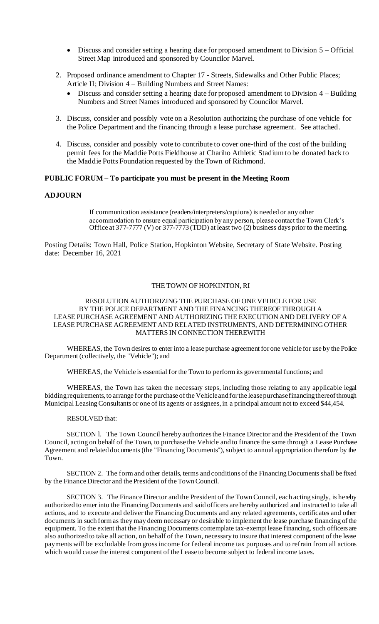- Discuss and consider setting a hearing date for proposed amendment to Division 5 Official Street Map introduced and sponsored by Councilor Marvel.
- 2. Proposed ordinance amendment to Chapter 17 Streets, Sidewalks and Other Public Places; Article II; Division 4 – Building Numbers and Street Names:
	- Discuss and consider setting a hearing date for proposed amendment to Division 4 Building Numbers and Street Names introduced and sponsored by Councilor Marvel.
- 3. Discuss, consider and possibly vote on a Resolution authorizing the purchase of one vehicle for the Police Department and the financing through a lease purchase agreement. See attached.
- 4. Discuss, consider and possibly vote to contribute to cover one-third of the cost of the building permit fees for the Maddie Potts Fieldhouse at Chariho Athletic Stadium to be donated back to the Maddie Potts Foundation requested by the Town of Richmond.

### **PUBLIC FORUM – To participate you must be present in the Meeting Room**

### **ADJOURN**

If communication assistance (readers/interpreters/captions) is needed or any other accommodation to ensure equal participation by any person, please contact the Town Clerk's Office at 377-7777 (V) or  $377$ -7773 (TDD) at least two (2) business days prior to the meeting.

Posting Details: Town Hall, Police Station, Hopkinton Website, Secretary of State Website. Posting date: December 16, 2021

#### THE TOWN OF HOPKINTON, RI

#### RESOLUTION AUTHORIZING THE PURCHASE OF ONE VEHICLE FOR USE BY THE POLICE DEPARTMENT AND THE FINANCING THEREOF THROUGH A LEASE PURCHASE AGREEMENT AND AUTHORIZING THE EXECUTION AND DELIVERY OF A LEASE PURCHASE AGREEMENT AND RELATED INSTRUMENTS, AND DETERMINING OTHER MATTERS IN CONNECTION THEREWITH

WHEREAS, the Town desires to enter into a lease purchase agreement for one vehicle for use by the Police Department (collectively, the "Vehicle"); and

WHEREAS, the Vehicle is essential for the Town to perform its governmental functions; and

WHEREAS, the Town has taken the necessary steps, including those relating to any applicable legal bidding requirements, to arrange for the purchase of the Vehicle and for the lease purchase financing thereof through Municipal Leasing Consultants or one of its agents or assignees, in a principal amount not to exceed \$44,454.

RESOLVED that:

SECTION l. The Town Council hereby authorizes the Finance Director and the President of the Town Council, acting on behalf of the Town, to purchase the Vehicle and to finance the same through a Lease Purchase Agreement and related documents (the "Financing Documents"), subject to annual appropriation therefore by the Town.

SECTION 2. The form and other details, terms and conditions of the Financing Documents shall be fixed by the Finance Director and the President of the Town Council.

SECTION 3. The Finance Director and the President of the Town Council, each acting singly, is hereby authorized to enter into the Financing Documents and said officers are hereby authorized and instructed to take all actions, and to execute and deliver the Financing Documents and any related agreements, certificates and other documents in such form as they may deem necessary or desirable to implement the lease purchase financing of the equipment. To the extent that the Financing Documents contemplate tax-exempt lease financing, such officers are also authorized to take all action, on behalf of the Town, necessary to insure that interest component of the lease payments will be excludable from gross income for federal income tax purposes and to refrain from all actions which would cause the interest component of the Lease to become subject to federal income taxes.